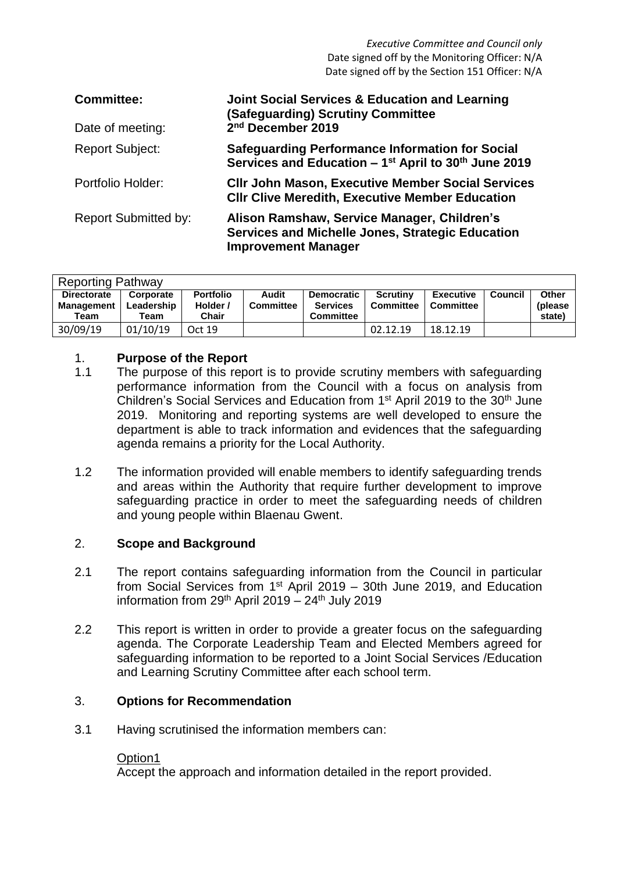| <b>Committee:</b>           | <b>Joint Social Services &amp; Education and Learning</b><br>(Safeguarding) Scrutiny Committee                                       |
|-----------------------------|--------------------------------------------------------------------------------------------------------------------------------------|
| Date of meeting:            | 2 <sup>nd</sup> December 2019                                                                                                        |
| <b>Report Subject:</b>      | <b>Safeguarding Performance Information for Social</b><br>Services and Education $-1^{st}$ April to 30 <sup>th</sup> June 2019       |
| Portfolio Holder:           | <b>CIIr John Mason, Executive Member Social Services</b><br><b>CIIr Clive Meredith, Executive Member Education</b>                   |
| <b>Report Submitted by:</b> | Alison Ramshaw, Service Manager, Children's<br><b>Services and Michelle Jones, Strategic Education</b><br><b>Improvement Manager</b> |

| <b>Reporting Pathway</b>                        |                                 |                                              |                           |                                                          |                              |                               |         |                            |  |  |
|-------------------------------------------------|---------------------------------|----------------------------------------------|---------------------------|----------------------------------------------------------|------------------------------|-------------------------------|---------|----------------------------|--|--|
| <b>Directorate</b><br><b>Management</b><br>Team | Corporate<br>Leadership<br>Геаm | <b>Portfolio</b><br>Holder /<br><b>Chair</b> | Audit<br><b>Committee</b> | <b>Democratic</b><br><b>Services</b><br><b>Committee</b> | <b>Scrutiny</b><br>Committee | <b>Executive</b><br>Committee | Council | Other<br>(please<br>state) |  |  |
| 30/09/19                                        | 01/10/19                        | Oct 19                                       |                           |                                                          | 02.12.19                     | 18.12.19                      |         |                            |  |  |

# 1. **Purpose of the Report**

- 1.1 The purpose of this report is to provide scrutiny members with safeguarding performance information from the Council with a focus on analysis from Children's Social Services and Education from 1<sup>st</sup> April 2019 to the 30<sup>th</sup> June 2019. Monitoring and reporting systems are well developed to ensure the department is able to track information and evidences that the safeguarding agenda remains a priority for the Local Authority.
- 1.2 The information provided will enable members to identify safeguarding trends and areas within the Authority that require further development to improve safeguarding practice in order to meet the safeguarding needs of children and young people within Blaenau Gwent.

# 2. **Scope and Background**

- 2.1 The report contains safeguarding information from the Council in particular from Social Services from  $1<sup>st</sup>$  April 2019 – 30th June 2019, and Education information from  $29<sup>th</sup>$  April 2019 – 24<sup>th</sup> July 2019
- 2.2 This report is written in order to provide a greater focus on the safeguarding agenda. The Corporate Leadership Team and Elected Members agreed for safeguarding information to be reported to a Joint Social Services /Education and Learning Scrutiny Committee after each school term.

# 3. **Options for Recommendation**

3.1 Having scrutinised the information members can:

# Option1

Accept the approach and information detailed in the report provided.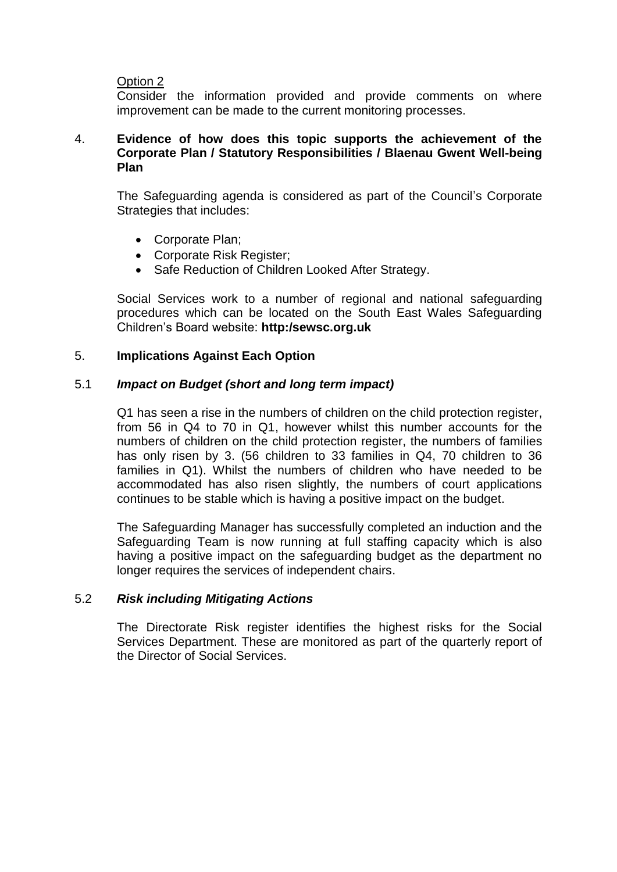# Option 2

Consider the information provided and provide comments on where improvement can be made to the current monitoring processes.

# 4. **Evidence of how does this topic supports the achievement of the Corporate Plan / Statutory Responsibilities / Blaenau Gwent Well-being Plan**

The Safeguarding agenda is considered as part of the Council's Corporate Strategies that includes:

- Corporate Plan;
- Corporate Risk Register;
- Safe Reduction of Children Looked After Strategy.

Social Services work to a number of regional and national safeguarding procedures which can be located on the South East Wales Safeguarding Children's Board website: **http:/sewsc.org.uk**

#### 5. **Implications Against Each Option**

#### 5.1 *Impact on Budget (short and long term impact)*

Q1 has seen a rise in the numbers of children on the child protection register, from 56 in Q4 to 70 in Q1, however whilst this number accounts for the numbers of children on the child protection register, the numbers of families has only risen by 3. (56 children to 33 families in Q4, 70 children to 36 families in Q1). Whilst the numbers of children who have needed to be accommodated has also risen slightly, the numbers of court applications continues to be stable which is having a positive impact on the budget.

The Safeguarding Manager has successfully completed an induction and the Safeguarding Team is now running at full staffing capacity which is also having a positive impact on the safeguarding budget as the department no longer requires the services of independent chairs.

#### 5.2 *Risk including Mitigating Actions*

The Directorate Risk register identifies the highest risks for the Social Services Department. These are monitored as part of the quarterly report of the Director of Social Services.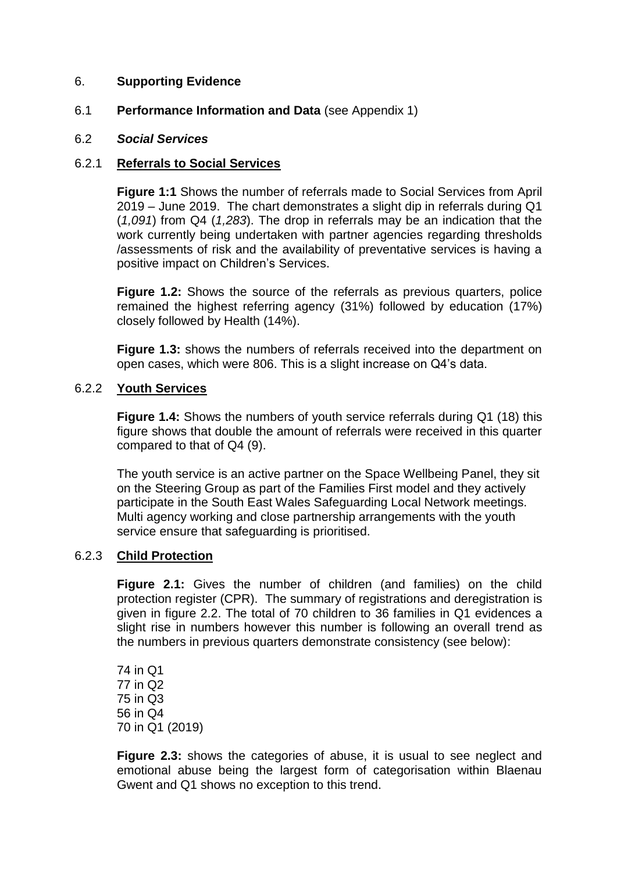#### 6. **Supporting Evidence**

#### 6.1 **Performance Information and Data** (see Appendix 1)

#### 6.2 *Social Services*

#### 6.2.1 **Referrals to Social Services**

**Figure 1:1** Shows the number of referrals made to Social Services from April 2019 – June 2019. The chart demonstrates a slight dip in referrals during Q1 (*1,091*) from Q4 (*1,283*). The drop in referrals may be an indication that the work currently being undertaken with partner agencies regarding thresholds /assessments of risk and the availability of preventative services is having a positive impact on Children's Services.

**Figure 1.2:** Shows the source of the referrals as previous quarters, police remained the highest referring agency (31%) followed by education (17%) closely followed by Health (14%).

**Figure 1.3:** shows the numbers of referrals received into the department on open cases, which were 806. This is a slight increase on Q4's data.

#### 6.2.2 **Youth Services**

**Figure 1.4:** Shows the numbers of youth service referrals during Q1 (18) this figure shows that double the amount of referrals were received in this quarter compared to that of Q4 (9).

The youth service is an active partner on the Space Wellbeing Panel, they sit on the Steering Group as part of the Families First model and they actively participate in the South East Wales Safeguarding Local Network meetings. Multi agency working and close partnership arrangements with the youth service ensure that safeguarding is prioritised.

# 6.2.3 **Child Protection**

**Figure 2.1:** Gives the number of children (and families) on the child protection register (CPR). The summary of registrations and deregistration is given in figure 2.2. The total of 70 children to 36 families in Q1 evidences a slight rise in numbers however this number is following an overall trend as the numbers in previous quarters demonstrate consistency (see below):

74 in Q1 77 in Q2 75 in Q3 56 in Q4 70 in Q1 (2019)

**Figure 2.3:** shows the categories of abuse, it is usual to see neglect and emotional abuse being the largest form of categorisation within Blaenau Gwent and Q1 shows no exception to this trend.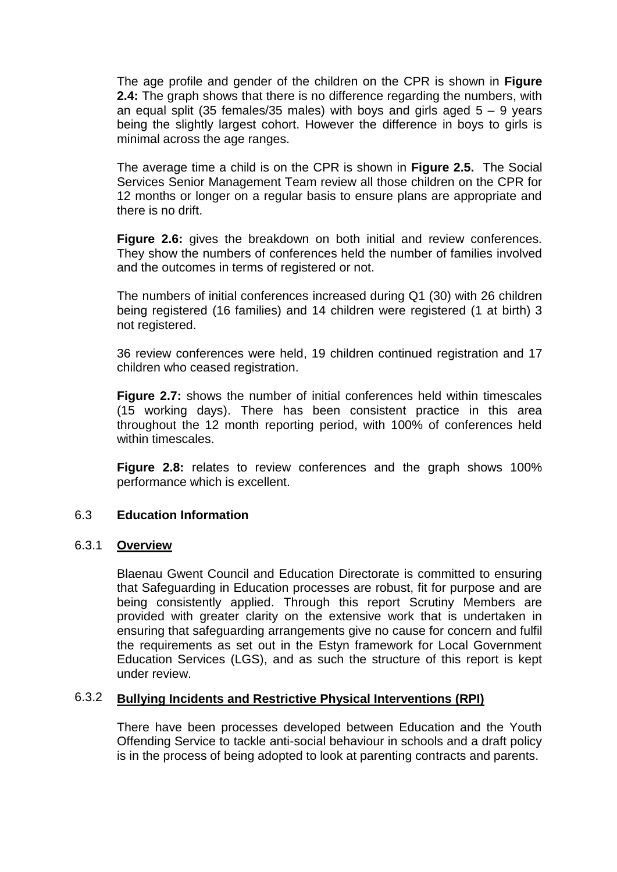The age profile and gender of the children on the CPR is shown in **Figure 2.4:** The graph shows that there is no difference regarding the numbers, with an equal split (35 females/35 males) with boys and girls aged  $5 - 9$  years being the slightly largest cohort. However the difference in boys to girls is minimal across the age ranges.

The average time a child is on the CPR is shown in **Figure 2.5.** The Social Services Senior Management Team review all those children on the CPR for 12 months or longer on a regular basis to ensure plans are appropriate and there is no drift.

**Figure 2.6:** gives the breakdown on both initial and review conferences. They show the numbers of conferences held the number of families involved and the outcomes in terms of registered or not.

The numbers of initial conferences increased during Q1 (30) with 26 children being registered (16 families) and 14 children were registered (1 at birth) 3 not registered.

36 review conferences were held, 19 children continued registration and 17 children who ceased registration.

**Figure 2.7:** shows the number of initial conferences held within timescales (15 working days). There has been consistent practice in this area throughout the 12 month reporting period, with 100% of conferences held within timescales.

**Figure 2.8:** relates to review conferences and the graph shows 100% performance which is excellent.

# 6.3 **Education Information**

# 6.3.1 **Overview**

Blaenau Gwent Council and Education Directorate is committed to ensuring that Safeguarding in Education processes are robust, fit for purpose and are being consistently applied. Through this report Scrutiny Members are provided with greater clarity on the extensive work that is undertaken in ensuring that safeguarding arrangements give no cause for concern and fulfil the requirements as set out in the Estyn framework for Local Government Education Services (LGS), and as such the structure of this report is kept under review.

# 6.3.2 **Bullying Incidents and Restrictive Physical Interventions (RPI)**

There have been processes developed between Education and the Youth Offending Service to tackle anti-social behaviour in schools and a draft policy is in the process of being adopted to look at parenting contracts and parents.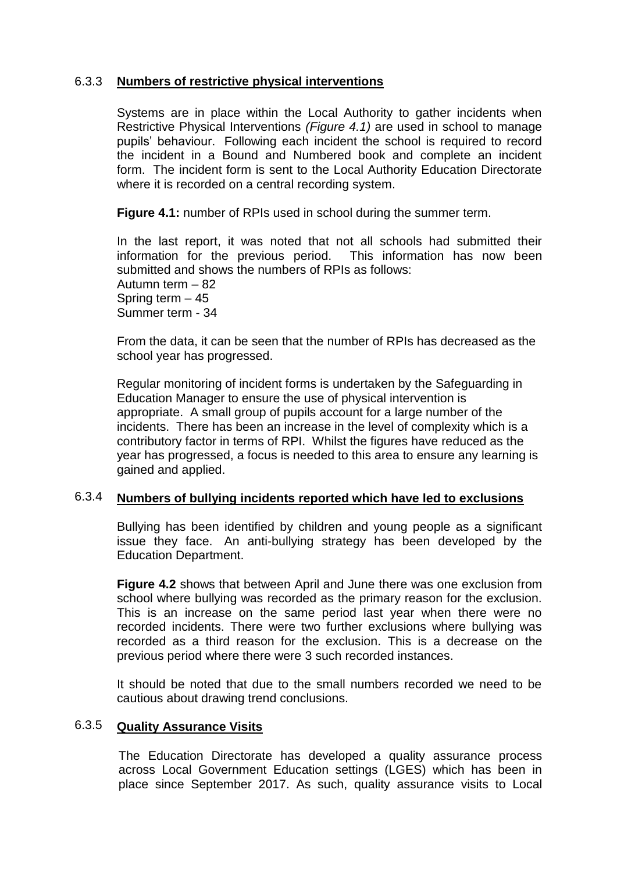# 6.3.3 **Numbers of restrictive physical interventions**

Systems are in place within the Local Authority to gather incidents when Restrictive Physical Interventions *(Figure 4.1)* are used in school to manage pupils' behaviour. Following each incident the school is required to record the incident in a Bound and Numbered book and complete an incident form. The incident form is sent to the Local Authority Education Directorate where it is recorded on a central recording system.

**Figure 4.1:** number of RPIs used in school during the summer term.

In the last report, it was noted that not all schools had submitted their information for the previous period. This information has now been submitted and shows the numbers of RPIs as follows: Autumn term – 82 Spring term – 45 Summer term - 34

From the data, it can be seen that the number of RPIs has decreased as the school year has progressed.

Regular monitoring of incident forms is undertaken by the Safeguarding in Education Manager to ensure the use of physical intervention is appropriate. A small group of pupils account for a large number of the incidents. There has been an increase in the level of complexity which is a contributory factor in terms of RPI. Whilst the figures have reduced as the year has progressed, a focus is needed to this area to ensure any learning is gained and applied.

#### 6.3.4 **Numbers of bullying incidents reported which have led to exclusions**

Bullying has been identified by children and young people as a significant issue they face. An anti-bullying strategy has been developed by the Education Department.

**Figure 4.2** shows that between April and June there was one exclusion from school where bullying was recorded as the primary reason for the exclusion. This is an increase on the same period last year when there were no recorded incidents. There were two further exclusions where bullying was recorded as a third reason for the exclusion. This is a decrease on the previous period where there were 3 such recorded instances.

It should be noted that due to the small numbers recorded we need to be cautious about drawing trend conclusions.

#### 6.3.5 **Quality Assurance Visits**

The Education Directorate has developed a quality assurance process across Local Government Education settings (LGES) which has been in place since September 2017. As such, quality assurance visits to Local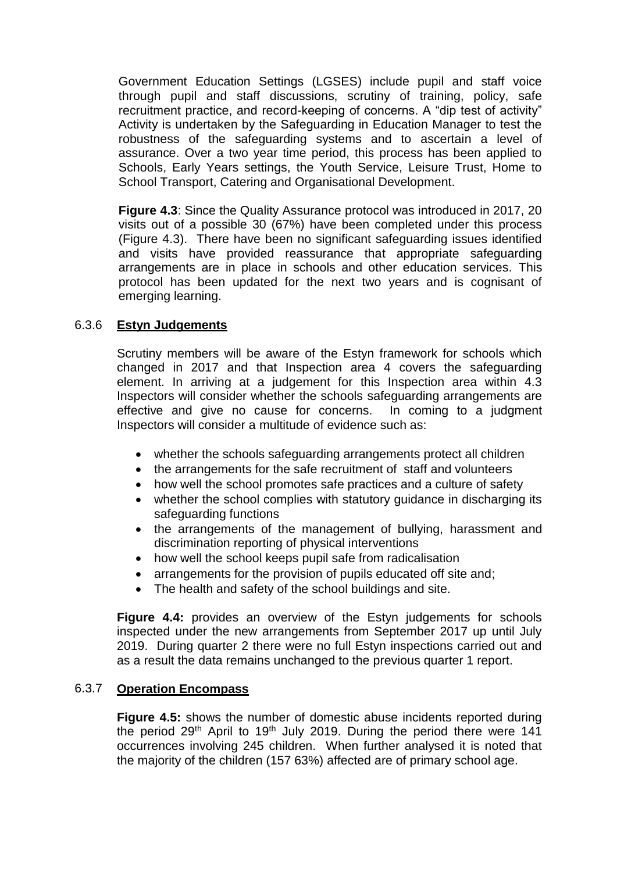Government Education Settings (LGSES) include pupil and staff voice through pupil and staff discussions, scrutiny of training, policy, safe recruitment practice, and record-keeping of concerns. A "dip test of activity" Activity is undertaken by the Safeguarding in Education Manager to test the robustness of the safeguarding systems and to ascertain a level of assurance. Over a two year time period, this process has been applied to Schools, Early Years settings, the Youth Service, Leisure Trust, Home to School Transport, Catering and Organisational Development.

**Figure 4.3**: Since the Quality Assurance protocol was introduced in 2017, 20 visits out of a possible 30 (67%) have been completed under this process (Figure 4.3). There have been no significant safeguarding issues identified and visits have provided reassurance that appropriate safeguarding arrangements are in place in schools and other education services. This protocol has been updated for the next two years and is cognisant of emerging learning.

#### 6.3.6 **Estyn Judgements**

Scrutiny members will be aware of the Estyn framework for schools which changed in 2017 and that Inspection area 4 covers the safeguarding element. In arriving at a judgement for this Inspection area within 4.3 Inspectors will consider whether the schools safeguarding arrangements are effective and give no cause for concerns. In coming to a judgment Inspectors will consider a multitude of evidence such as:

- whether the schools safeguarding arrangements protect all children
- the arrangements for the safe recruitment of staff and volunteers
- how well the school promotes safe practices and a culture of safety
- whether the school complies with statutory quidance in discharging its safeguarding functions
- the arrangements of the management of bullying, harassment and discrimination reporting of physical interventions
- how well the school keeps pupil safe from radicalisation
- arrangements for the provision of pupils educated off site and;
- The health and safety of the school buildings and site.

**Figure 4.4:** provides an overview of the Estyn judgements for schools inspected under the new arrangements from September 2017 up until July 2019. During quarter 2 there were no full Estyn inspections carried out and as a result the data remains unchanged to the previous quarter 1 report.

#### 6.3.7 **Operation Encompass**

**Figure 4.5:** shows the number of domestic abuse incidents reported during the period 29<sup>th</sup> April to 19<sup>th</sup> July 2019. During the period there were 141 occurrences involving 245 children. When further analysed it is noted that the majority of the children (157 63%) affected are of primary school age.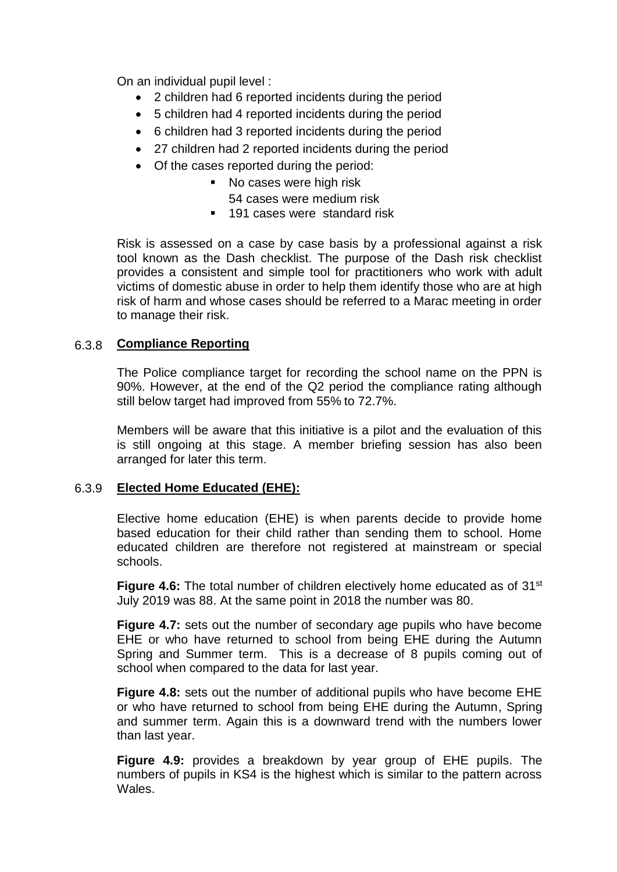On an individual pupil level :

- 2 children had 6 reported incidents during the period
- 5 children had 4 reported incidents during the period
- 6 children had 3 reported incidents during the period
- 27 children had 2 reported incidents during the period
- Of the cases reported during the period:
	- No cases were high risk
	- 54 cases were medium risk
	- 191 cases were standard risk

Risk is assessed on a case by case basis by a professional against a risk tool known as the Dash checklist. The purpose of the Dash risk checklist provides a consistent and simple tool for practitioners who work with adult victims of domestic abuse in order to help them identify those who are at high risk of harm and whose cases should be referred to a Marac meeting in order to manage their risk.

# 6.3.8 **Compliance Reporting**

The Police compliance target for recording the school name on the PPN is 90%. However, at the end of the Q2 period the compliance rating although still below target had improved from 55% to 72.7%.

 Members will be aware that this initiative is a pilot and the evaluation of this is still ongoing at this stage. A member briefing session has also been arranged for later this term.

# 6.3.9 **Elected Home Educated (EHE):**

Elective home education (EHE) is when parents decide to provide home based education for their child rather than sending them to school. Home educated children are therefore not registered at mainstream or special schools.

**Figure 4.6:** The total number of children electively home educated as of 31<sup>st</sup> July 2019 was 88. At the same point in 2018 the number was 80.

**Figure 4.7:** sets out the number of secondary age pupils who have become EHE or who have returned to school from being EHE during the Autumn Spring and Summer term. This is a decrease of 8 pupils coming out of school when compared to the data for last year.

**Figure 4.8:** sets out the number of additional pupils who have become EHE or who have returned to school from being EHE during the Autumn, Spring and summer term. Again this is a downward trend with the numbers lower than last year.

**Figure 4.9:** provides a breakdown by year group of EHE pupils. The numbers of pupils in KS4 is the highest which is similar to the pattern across **Wales**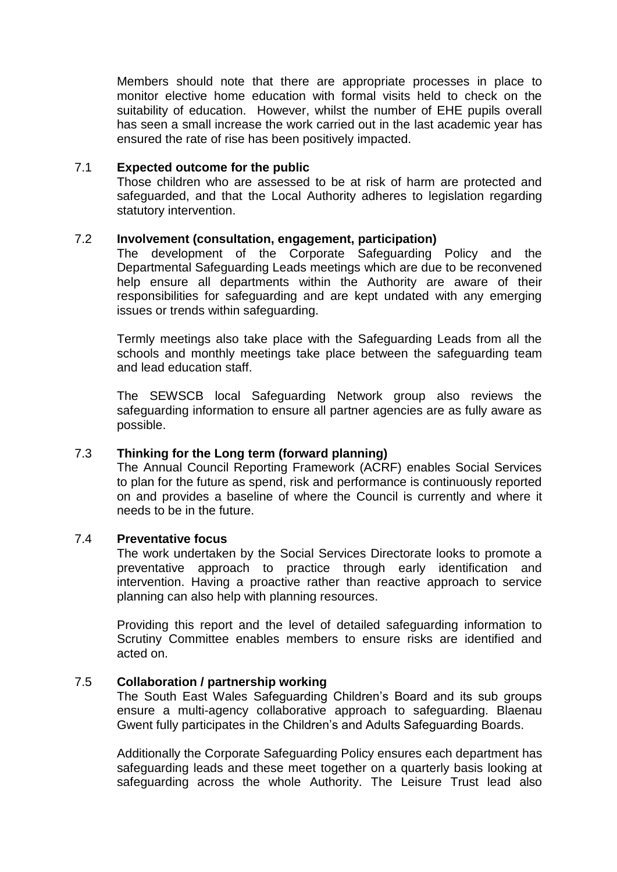Members should note that there are appropriate processes in place to monitor elective home education with formal visits held to check on the suitability of education. However, whilst the number of EHE pupils overall has seen a small increase the work carried out in the last academic year has ensured the rate of rise has been positively impacted.

### 7.1 **Expected outcome for the public**

Those children who are assessed to be at risk of harm are protected and safeguarded, and that the Local Authority adheres to legislation regarding statutory intervention.

#### 7.2 **Involvement (consultation, engagement, participation)**

The development of the Corporate Safeguarding Policy and the Departmental Safeguarding Leads meetings which are due to be reconvened help ensure all departments within the Authority are aware of their responsibilities for safeguarding and are kept undated with any emerging issues or trends within safeguarding.

Termly meetings also take place with the Safeguarding Leads from all the schools and monthly meetings take place between the safeguarding team and lead education staff.

The SEWSCB local Safeguarding Network group also reviews the safeguarding information to ensure all partner agencies are as fully aware as possible.

# 7.3 **Thinking for the Long term (forward planning)**

The Annual Council Reporting Framework (ACRF) enables Social Services to plan for the future as spend, risk and performance is continuously reported on and provides a baseline of where the Council is currently and where it needs to be in the future.

#### 7.4 **Preventative focus**

The work undertaken by the Social Services Directorate looks to promote a preventative approach to practice through early identification and intervention. Having a proactive rather than reactive approach to service planning can also help with planning resources.

Providing this report and the level of detailed safeguarding information to Scrutiny Committee enables members to ensure risks are identified and acted on.

#### 7.5 **Collaboration / partnership working**

The South East Wales Safeguarding Children's Board and its sub groups ensure a multi-agency collaborative approach to safeguarding. Blaenau Gwent fully participates in the Children's and Adults Safeguarding Boards.

Additionally the Corporate Safeguarding Policy ensures each department has safeguarding leads and these meet together on a quarterly basis looking at safeguarding across the whole Authority. The Leisure Trust lead also